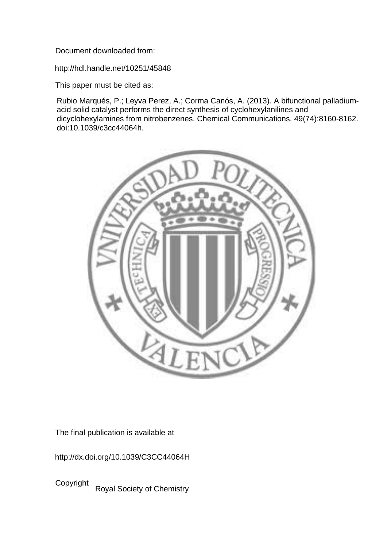Document downloaded from:

http://hdl.handle.net/10251/45848

This paper must be cited as:

Rubio Marqués, P.; Leyva Perez, A.; Corma Canós, A. (2013). A bifunctional palladiumacid solid catalyst performs the direct synthesis of cyclohexylanilines and dicyclohexylamines from nitrobenzenes. Chemical Communications. 49(74):8160-8162. doi:10.1039/c3cc44064h.



The final publication is available at

http://dx.doi.org/10.1039/C3CC44064H

Copyright Royal Society of Chemistry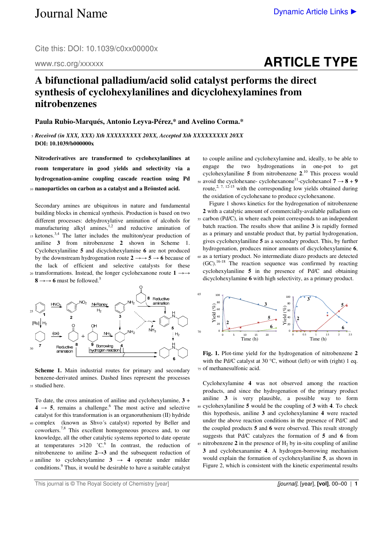Cite this: DOI: 10.1039/c0xx00000x

www.rsc.org/xxxxxx

## **ARTICLE TYPE**

## **A bifunctional palladium/acid solid catalyst performs the direct synthesis of cyclohexylanilines and dicyclohexylamines from nitrobenzenes**

**Paula Rubio-Marqués, Antonio Leyva-Pérez,\* and Avelino Corma.\*** 

<sup>5</sup>*Received (in XXX, XXX) Xth XXXXXXXXX 20XX, Accepted Xth XXXXXXXXX 20XX*  **DOI: 10.1039/b000000x** 

**Nitroderivatives are transformed to cyclohexylanilines at room temperature in good yields and selectivity via a hydrogenation-amine coupling cascade reaction using Pd**  <sup>10</sup>**nanoparticles on carbon as a catalyst and a Brönsted acid.** 

Secondary amines are ubiquitous in nature and fundamental building blocks in chemical synthesis. Production is based on two different processes: dehydroxylative amination of alcohols for manufacturing alkyl amines, $1,2$  and reductive amination of  $15$  ketones.<sup>3,4</sup> The latter includes the multiton/year production of aniline **3** from nitrobenzene **2** shown in Scheme 1. Cyclohexylaniline **5** and dicyclohexylamine **6** are not produced by the downstream hydrogenation route  $2 \rightarrow 5 \rightarrow 6$  because of the lack of efficient and selective catalysts for these 20 transformations. Instead, the longer cyclohexanone route 1 →→





**Scheme 1.** Main industrial routes for primary and secondary benzene-derivated amines. Dashed lines represent the processes 35 studied here.

To date, the cross amination of aniline and cyclohexylamine, **3** +  $4 \rightarrow 5$ , remains a challenge.<sup>6</sup> The most active and selective catalyst for this transformation is an organoruthenium (II) hydride <sup>40</sup>complex (known as Shvo´s catalyst) reported by Beller and coworkers.7,8 This excellent homogeneous process and, to our knowledge, all the other catalytic systems reported to date operate at temperatures  $>120$  °C.<sup>6</sup> In contrast, the reduction of nitrobenzene to aniline **2**→**3** and the subsequent reduction of 45 aniline to cyclohexylamine  $3 \rightarrow 4$  operate under milder conditions.<sup>9</sup> Thus, it would be desirable to have a suitable catalyst

to couple aniline and cyclohexylamine and, ideally, to be able to engage the two hydrogenations in one-pot to get cyclohexylaniline **5** from nitrobenzene **2**. <sup>10</sup> This process would 50 avoid the cyclohexane- cyclohexanone<sup>11</sup>-cyclohexanol  $7 \rightarrow 8 + 9$ route,<sup>2, 7, 12-15</sup> with the corresponding low yields obtained during the oxidation of cyclohexane to produce cyclohexanone.

 Figure 1 shows kinetics for the hydrogenation of nitrobenzene **2** with a catalytic amount of commercially-available palladium on 55 carbon (Pd/C), in where each point corresponds to an independent batch reaction. The results show that aniline **3** is rapidly formed as a primary and unstable product that, by partial hydrogenation, gives cyclohexylaniline **5** as a secondary product. This, by further hydrogenation, produces minor amounts of dicyclohexylamine **6**, <sup>60</sup>as a tertiary product. No intermediate diazo products are detected  $(GC)$ .<sup>16-18</sup> The reaction sequence was confirmed by reacting cyclohexylaniline **5** in the presence of Pd/C and obtaining dicyclohexylamine **6** with high selectivity, as a primary product.



**Fig. 1.** Plot-time yield for the hydrogenation of nitrobenzene **2** with the Pd/C catalyst at 30 °C, without (left) or with (right) 1 eq. <sup>75</sup>of methanesulfonic acid.

Cyclohexylamine **4** was not observed among the reaction products, and since the hydrogenation of the primary product aniline **3** is very plausible, a possible way to form <sup>80</sup>cyclohexylaniline **5** would be the coupling of **3** with **4**. To check this hypothesis, aniline **3** and cyclohexylamine **4** were reacted under the above reaction conditions in the presence of Pd/C and the coupled products **5** and **6** were observed. This result strongly suggests that Pd/C catalyzes the formation of **5** and **6** from  $\alpha$  ss nitrobenzene 2 in the presence of  $H_2$  by in-situ coupling of aniline **3** and cyclohexanamine **4**. A hydrogen-borrowing mechanism would explain the formation of cyclohexylaniline **5**, as shown in Figure 2, which is consistent with the kinetic experimental results

This journal is © The Royal Society of Chemistry [year] **1998 1998 1998 1998 1998 1999 1999 1999 1999 1999 1999 1999 1999 1999 1999 1999 1999 1999 1999 1999 1999 1999 1999 1999**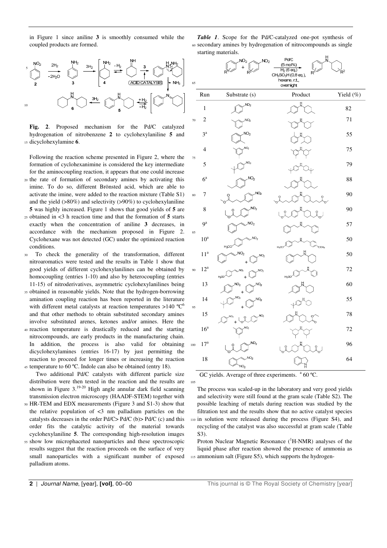in Figure 1 since aniline **3** is smoothly consumed while the coupled products are formed.

5 10

**Fig. 2**. Proposed mechanism for the Pd/C catalyzed hydrogenation of nitrobenzene **2** to cyclohexylaniline **5** and <sup>15</sup>dicyclohexylamine **6**.

Following the reaction scheme presented in Figure 2, where the formation of cyclohexanimine is considered the key intermediate for the aminocoupling reaction, it appears that one could increase <sup>20</sup>the rate of formation of secondary amines by activating this imine. To do so, different Brönsted acid, which are able to activate the imine, were added to the reaction mixture (Table S1)

- and the yield (>80%) and selectivity (>90%) to cyclohexylaniline **5** was highly increased. Figure 1 shows that good yields of **5** are <sup>25</sup>obtained in <3 h reaction time and that the formation of **5** starts exactly when the concentration of aniline **3** decreases, in accordance with the mechanism proposed in Figure 2.
- Cyclohexane was not detected (GC) under the optimized reaction conditions. <sup>30</sup>To check the generality of the transformation, different
- nitroaromatics were tested and the results in Table 1 show that good yields of different cyclohexylanilines can be obtained by homocoupling (entries 1-10) and also by heterocoupling (entries 11-15) of nitroderivatives, asymmetric cyclohexylanilines being
- <sup>35</sup>obtained in reasonable yields. Note that the hydrogen-borrowing amination coupling reaction has been reported in the literature with different metal catalysts at reaction temperatures  $>140$  °C<sup>6</sup> and that other methods to obtain substituted secondary amines involve substituted arenes, ketones and/or amines. Here the
- <sup>40</sup>reaction temperature is drastically reduced and the starting nitrocompounds, are early products in the manufacturing chain. In addition, the process is also valid for obtaining dicyclohexylamines (entries 16-17) by just permitting the reaction to proceed for longer times or increasing the reaction 45 temperature to 60 °C. Indole can also be obtained (entry 18).
- Two additional Pd/C catalysts with different particle size distribution were then tested in the reaction and the results are shown in Figure  $3.19-20$  High angle annular dark field scanning transmission electron microscopy (HAADF-STEM) together with
- <sup>50</sup>HR-TEM and EDX measurements (Figure 3 and S1-3) show that the relative population of  $\langle 3 \rangle$  nm palladium particles on the catalysts decreases in the order Pd/C> Pd/C (b)> Pd/C (c) and this order fits the catalytic activity of the material towards cyclohexylaniline **5**. The corresponding high-resolution images
- <sup>55</sup>show low microphaceted nanoparticles and these spectroscopic results suggest that the reaction proceeds on the surface of very small nanoparticles with a significant number of exposed palladium atoms.

*Table 1*. Scope for the Pd/C-catalyzed one-pot synthesis of <sup>60</sup>secondary amines by hydrogenation of nitrocompounds as single starting materials.  $\mathbf{H}$ 

| 65  |                 | NO <sub>2</sub><br>NO <sub>2</sub><br>$\ddot{}$<br>$R^2$<br>$R^1$ | Pd/C<br>N<br>$(5 \text{ mol\%})$<br>$H_2$ (6 eq.)<br>$\mathsf{R}^\uparrow$<br>CH <sub>3</sub> SO <sub>3</sub> H (0.8 eq.),<br>hexane, r.t.,<br>overnight | $R^2$     |
|-----|-----------------|-------------------------------------------------------------------|----------------------------------------------------------------------------------------------------------------------------------------------------------|-----------|
|     | Run             | Substrate (s)                                                     | Product                                                                                                                                                  | Yield (%) |
|     | $\,1$           | NO <sub>2</sub>                                                   | H                                                                                                                                                        | 82        |
| 70  | $\overline{c}$  | NO <sub>2</sub>                                                   |                                                                                                                                                          | 71        |
|     | $3^a$           | NO <sub>2</sub>                                                   |                                                                                                                                                          | 55        |
| 75  | $\overline{4}$  | NO <sub>2</sub>                                                   |                                                                                                                                                          | 75        |
|     | 5               | NO <sub>2</sub>                                                   |                                                                                                                                                          | 79        |
|     | $6^{\rm a}$     | NO <sub>2</sub>                                                   |                                                                                                                                                          | 88        |
| 80  | 7               | NO <sub>2</sub><br>Ċ                                              | ဂူ                                                                                                                                                       | 90        |
|     | 8               | NO <sub>2</sub>                                                   | O<br>O                                                                                                                                                   | 90        |
| 85  | $9^a$           | NO <sub>2</sub>                                                   | IJ                                                                                                                                                       | 57        |
|     | $10^a$          | NO <sub>2</sub><br>H <sub>3</sub> CO                              | J<br>$H_3$ CO<br>ocн <sub>з</sub>                                                                                                                        | 50        |
|     | 11 <sup>a</sup> | NO <sub>2</sub><br>NO <sub>2</sub><br>$\ddot{}$                   | H                                                                                                                                                        | 50        |
| 90  | $12^a$          | $\overline{3}$<br>NO <sub>2</sub><br>ſ<br>$H_3$ CO<br>$\ddot{}$   | H <sub>3</sub> CO                                                                                                                                        | 72        |
|     | 13              | $\sqrt{O_2}$<br>NO <sub>2</sub><br>$\ddot{}$                      |                                                                                                                                                          | 60        |
| 95  | 14              | NO <sub>2</sub><br>NO <sub>2</sub>                                |                                                                                                                                                          | 55        |
|     | 15              | NO <sub>2</sub><br>NO <sub>2</sub><br>ူ                           | Ó                                                                                                                                                        | 78        |
|     | 16 <sup>a</sup> | NO <sub>2</sub>                                                   |                                                                                                                                                          | 72        |
| 100 | 17 <sup>a</sup> | NO <sub>2</sub>                                                   | $\frac{0}{1}$                                                                                                                                            | 96        |
|     | 18              | NO <sub>2</sub><br>NO <sub>2</sub>                                |                                                                                                                                                          | 64        |

GC yields. Average of three experiments.  $a$  60 °C.

105

The process was scaled-up in the laboratory and very good yields and selectivity were still found at the gram scale (Table S2). The possible leaching of metals during reaction was studied by the filtration test and the results show that no active catalyst species <sup>110</sup>in solution were released during the process (Figure S4), and recycling of the catalyst was also successful at gram scale (Table S3).

Proton Nuclear Magnetic Resonance  $({}^{1}H\text{-NMR})$  analyses of the liquid phase after reaction showed the presence of ammonia as 115 ammonium salt (Figure S5), which supports the hydrogen-